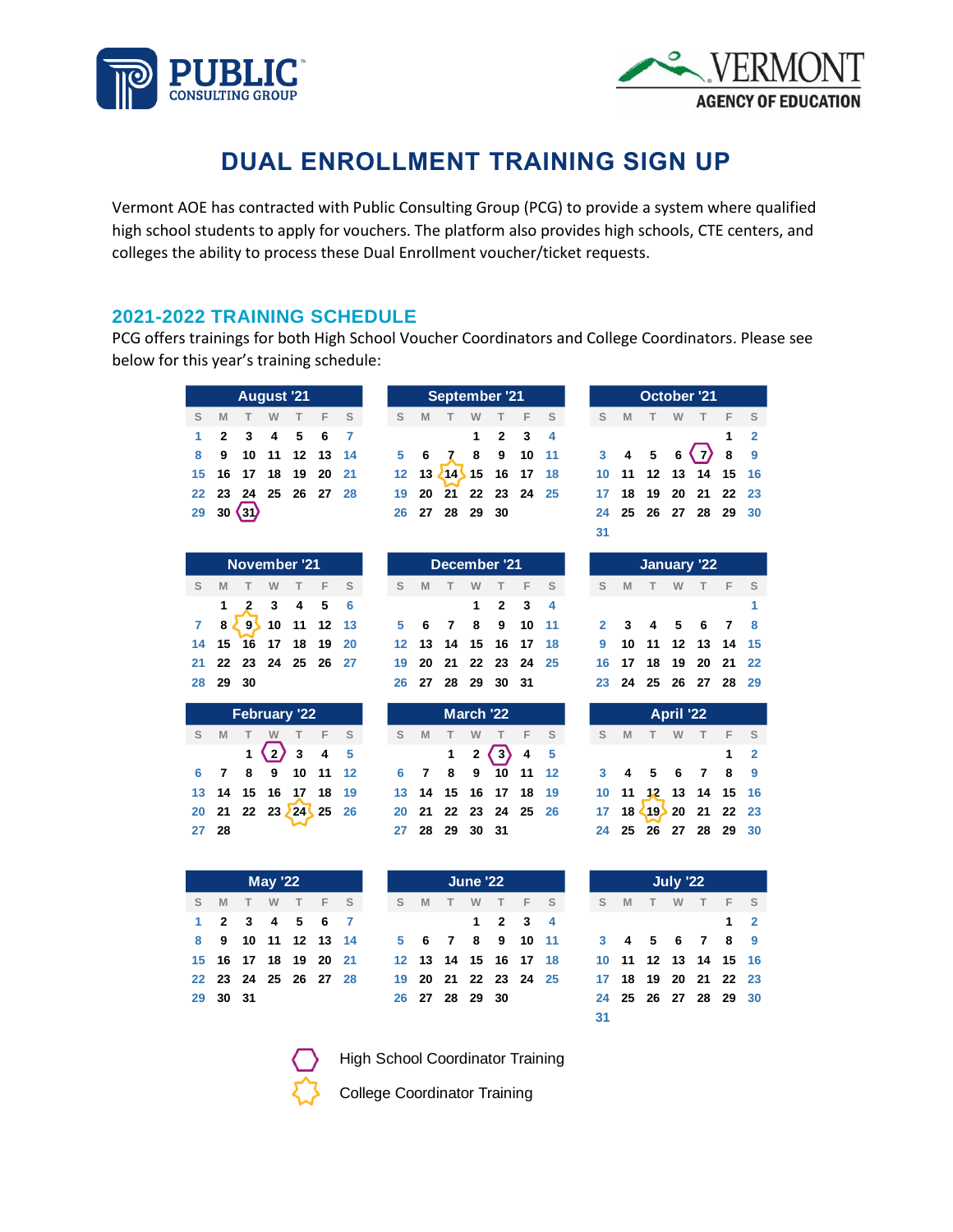



# **DUAL ENROLLMENT TRAINING SIGN UP**

Vermont AOE has contracted with Public Consulting Group (PCG) to provide a system where qualified high school students to apply for vouchers. The platform also provides high schools, CTE centers, and colleges the ability to process these Dual Enrollment voucher/ticket requests.

#### **2021-2022 TRAINING SCHEDULE**

PCG offers trainings for both High School Voucher Coordinators and College Coordinators. Please see below for this year's training schedule:

| August '21 |          |                      |          |      |  |       |
|------------|----------|----------------------|----------|------|--|-------|
|            | <b>M</b> |                      | <b>W</b> | $-1$ |  | $F$ S |
|            |          | $1$ 2 3 4 5 6 7      |          |      |  |       |
|            | 89       | 10 11 12 13 14       |          |      |  |       |
|            |          | 15 16 17 18 19 20 21 |          |      |  |       |
|            |          | 22 23 24 25 26 27 28 |          |      |  |       |
|            |          | $29 \t30 \t31$       |          |      |  |       |

|   | November '21         |      |  |                                             |  |  |  |  |  |  |  |  |  |
|---|----------------------|------|--|---------------------------------------------|--|--|--|--|--|--|--|--|--|
| S | M                    |      |  | T W T F S                                   |  |  |  |  |  |  |  |  |  |
|   |                      |      |  | $1 \quad 2 \quad 3 \quad 4 \quad 5 \quad 6$ |  |  |  |  |  |  |  |  |  |
|   |                      |      |  | $8\sqrt{9}$ 10 11 12 13                     |  |  |  |  |  |  |  |  |  |
|   | 14 15 16 17 18 19 20 |      |  |                                             |  |  |  |  |  |  |  |  |  |
|   | 21 22 23 24 25 26 27 |      |  |                                             |  |  |  |  |  |  |  |  |  |
|   | 28 29                | - 30 |  |                                             |  |  |  |  |  |  |  |  |  |

| <b>February '22</b> |          |  |                            |  |  |  |  |  |  |  |  |  |  |
|---------------------|----------|--|----------------------------|--|--|--|--|--|--|--|--|--|--|
| S                   | <b>M</b> |  | T W T F S                  |  |  |  |  |  |  |  |  |  |  |
|                     |          |  | $1\langle 2 \rangle$ 3 4 5 |  |  |  |  |  |  |  |  |  |  |
| 6.                  |          |  | 7 8 9 10 11 12             |  |  |  |  |  |  |  |  |  |  |
|                     |          |  | 13 14 15 16 17 18 19       |  |  |  |  |  |  |  |  |  |  |
|                     |          |  | 20 21 22 23 24 25 26       |  |  |  |  |  |  |  |  |  |  |
| 27 28               |          |  |                            |  |  |  |  |  |  |  |  |  |  |

|    | November '21 |  |   |      |                                        |     |  |
|----|--------------|--|---|------|----------------------------------------|-----|--|
| S. | M            |  | W | $-1$ |                                        | F S |  |
|    |              |  |   |      | $1\quad 2\quad 3\quad 4\quad 5\quad 6$ |     |  |
|    |              |  |   |      | $7829$ 10 11 12 13                     |     |  |
|    |              |  |   |      | 19 20                                  |     |  |
|    |              |  |   |      | 21  22  23  24  25  26  27             |     |  |
|    |              |  |   |      |                                        |     |  |

| February '22 |  |  |                                     |  |  | March '22 |  |  |  |                                             |  |                | <b>April '22</b> |  |  |  |                                   |  |
|--------------|--|--|-------------------------------------|--|--|-----------|--|--|--|---------------------------------------------|--|----------------|------------------|--|--|--|-----------------------------------|--|
|              |  |  | S M T W T F S                       |  |  |           |  |  |  | S M T W T F S                               |  |                | S M T W T F S    |  |  |  |                                   |  |
|              |  |  | $1\sqrt{2}3$ 4 5                    |  |  |           |  |  |  | $1 \quad 2 \quad \boxed{3} \quad 4 \quad 5$ |  |                |                  |  |  |  | $\overline{1}$ $\overline{2}$     |  |
|              |  |  | 6 7 8 9 10 11 12                    |  |  |           |  |  |  | 6 7 8 9 10 11 12                            |  |                |                  |  |  |  | 3 4 5 6 7 8 9                     |  |
|              |  |  | 13 14 15 16 17 18 19                |  |  |           |  |  |  | 13 14 15 16 17 18 19                        |  |                |                  |  |  |  | 10 11 12 13 14 15 16              |  |
|              |  |  | $20$ 21 22 23 $\overline{24}$ 25 26 |  |  |           |  |  |  | 20 21 22 23 24 25 26                        |  |                |                  |  |  |  | 17 18 $\leftarrow$ 19 20 21 22 23 |  |
| 27 28        |  |  |                                     |  |  |           |  |  |  |                                             |  | 27 28 29 30 31 |                  |  |  |  | 24 25 26 27 28 29 30              |  |

|   |             |                | December '21 |        |                      |       |     |           |    |   | January '22       |                |                         |
|---|-------------|----------------|--------------|--------|----------------------|-------|-----|-----------|----|---|-------------------|----------------|-------------------------|
| S | M           |                | W            | $\top$ |                      | $F$ S | S   | M         |    | W | т                 | F.             | - S                     |
|   |             |                | 1            |        | 2 3 4                |       |     |           |    |   |                   |                |                         |
| 5 | 6           | $\overline{7}$ | 8            | 9      | $10 \t11$            |       |     | 2 3 4 5 6 |    |   |                   | $\overline{7}$ | $\overline{\mathbf{8}}$ |
|   |             |                |              |        | 12 13 14 15 16 17 18 |       | 9   |           |    |   | 10 11 12 13 14 15 |                |                         |
|   |             |                |              |        | 19 20 21 22 23 24 25 |       | 16. | 17        | 18 |   | 19 20 21 22       |                |                         |
|   | 26 27 28 29 |                |              | 30 31  |                      |       | 23  |           |    |   | 24 25 26 27 28    |                | - 29                    |

| <b>April '22</b> |  |  |  |                                              |  |             |  |  |  |  |  |
|------------------|--|--|--|----------------------------------------------|--|-------------|--|--|--|--|--|
|                  |  |  |  | S M T W T F S                                |  |             |  |  |  |  |  |
|                  |  |  |  |                                              |  | $1 \quad 2$ |  |  |  |  |  |
|                  |  |  |  | 3 4 5 6 7 8 9                                |  |             |  |  |  |  |  |
|                  |  |  |  | 10 11 12 13 14 15 16<br>17 18 19 20 21 22 23 |  |             |  |  |  |  |  |
|                  |  |  |  |                                              |  |             |  |  |  |  |  |
|                  |  |  |  | 24 25 26 27 28 29 30                         |  |             |  |  |  |  |  |

| <b>May '22</b> |          |  |                      |  |  |  |  |  |  |  |  |
|----------------|----------|--|----------------------|--|--|--|--|--|--|--|--|
|                |          |  | S M T W T F S        |  |  |  |  |  |  |  |  |
|                |          |  | 1 2 3 4 5 6 7        |  |  |  |  |  |  |  |  |
| 8.             |          |  | 9 10 11 12 13 14     |  |  |  |  |  |  |  |  |
|                |          |  | 15 16 17 18 19 20 21 |  |  |  |  |  |  |  |  |
|                |          |  | 22 23 24 25 26 27 28 |  |  |  |  |  |  |  |  |
|                | 29 30 31 |  |                      |  |  |  |  |  |  |  |  |

|    |                      | June '22  |                             |  |   | July '22      |  |     |     |
|----|----------------------|-----------|-----------------------------|--|---|---------------|--|-----|-----|
| S. | <b>M</b>             | T W T F S |                             |  | S | <b>M</b>      |  | T W | - 1 |
|    |                      |           | $1 \quad 2 \quad 3 \quad 4$ |  |   |               |  |     |     |
|    | 5 6 7 8 9 10 11      |           |                             |  |   | 3 4 5 6 7     |  |     |     |
|    | 12 13 14 15 16 17 18 |           |                             |  |   | 10 11 12 13 1 |  |     |     |
|    | 19 20 21 22 23 24 25 |           |                             |  |   | 17 18 19 20 2 |  |     |     |
|    | 26 27 28 29 30       |           |                             |  |   | 24 25 26 27 2 |  |     |     |
|    |                      |           |                             |  |   |               |  |     |     |





High School Coordinator Training



College Coordinator Training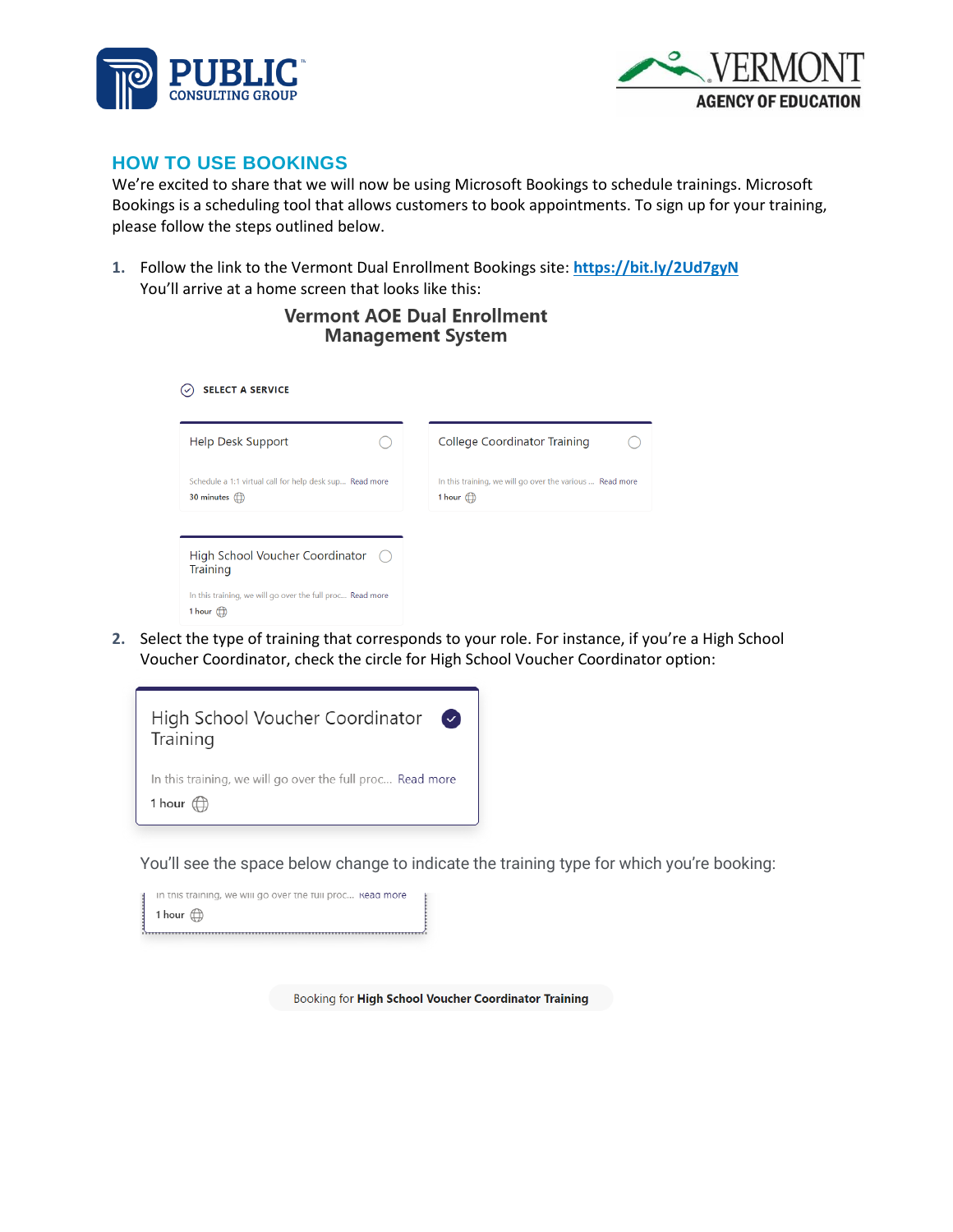



### **HOW TO USE BOOKINGS**

We're excited to share that we will now be using Microsoft Bookings to schedule trainings. Microsoft Bookings is a scheduling tool that allows customers to book appointments. To sign up for your training, please follow the steps outlined below.

**1.** Follow the link to the Vermont Dual Enrollment Bookings site: **<https://bit.ly/2Ud7gyN>** You'll arrive at a home screen that looks like this:

#### **Vermont AOE Dual Enrollment Management System**

| <b>SELECT A SERVICE</b>                                                                 |                                                                                      |
|-----------------------------------------------------------------------------------------|--------------------------------------------------------------------------------------|
| Help Desk Support                                                                       | College Coordinator Training                                                         |
| Schedule a 1:1 virtual call for help desk sup Read more<br>30 minutes $\langle \rangle$ | In this training, we will go over the various  Read more<br>1 hour $\langle \rangle$ |
|                                                                                         |                                                                                      |
| High School Voucher Coordinator<br>$($ )<br><b>Training</b>                             |                                                                                      |
| In this training, we will go over the full proc Read more<br>1 hour $(f)$               |                                                                                      |

**2.** Select the type of training that corresponds to your role. For instance, if you're a High School Voucher Coordinator, check the circle for High School Voucher Coordinator option:



You'll see the space below change to indicate the training type for which you're booking:

| in this training, we will go over the full proc Kead more |  |
|-----------------------------------------------------------|--|
| 1 hour $f(x)$                                             |  |
|                                                           |  |

Booking for High School Voucher Coordinator Training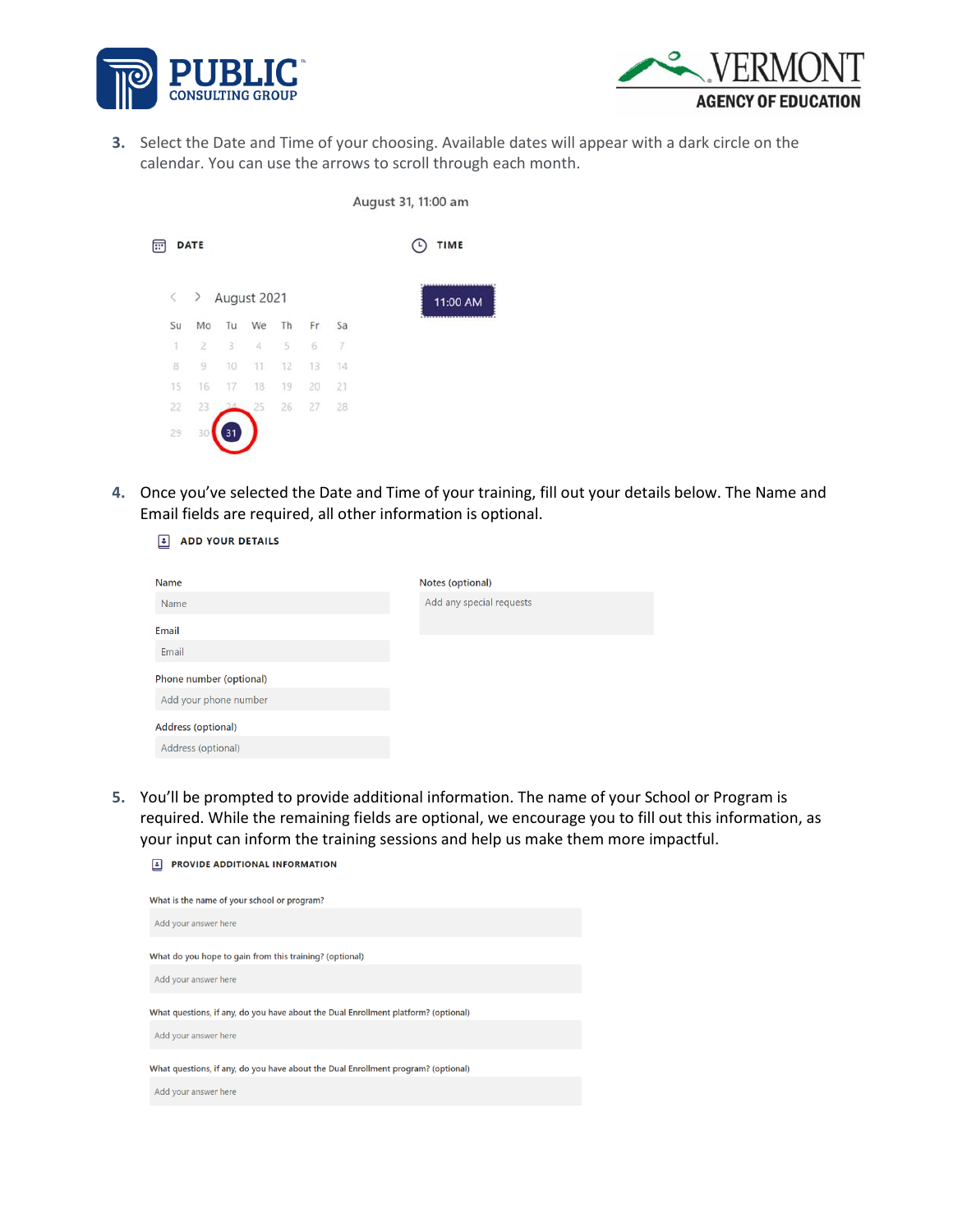



**3.** Select the Date and Time of your choosing. Available dates will appear with a dark circle on the calendar. You can use the arrows to scroll through each month.

 $Alu$  and  $21, 11, 00, 2m$ 

|   |        |             |    |             |    |     |        |                            | August 31, 11.00 ann |  |
|---|--------|-------------|----|-------------|----|-----|--------|----------------------------|----------------------|--|
| 画 |        | <b>DATE</b> |    |             |    |     |        | $\left( \mathsf{L}\right)$ | TIME                 |  |
|   | $\leq$ | $\,$        |    | August 2021 |    |     |        |                            | 11:00 AM             |  |
|   | Su     | Mo          | Tu | We          | Th | Fr  | Sa     |                            |                      |  |
|   | 1.     | $\bar{2}$   | 3  | 4           | 5  | 6   | 7      |                            |                      |  |
|   | 8      | 9           | 10 | 11.         | 12 | 13. | $14 -$ |                            |                      |  |
|   | 15     | 16          | 17 | 18          | 19 | 20  | 21     |                            |                      |  |
|   | 22     | 23          |    | 25          | 26 | 27  | 28     |                            |                      |  |
|   | 29     | 30          | 31 |             |    |     |        |                            |                      |  |

**4.** Once you've selected the Date and Time of your training, fill out your details below. The Name and Email fields are required, all other information is optional.

**E** ADD YOUR DETAILS

| <b>Name</b>             | Notes (optional)         |
|-------------------------|--------------------------|
| Name                    | Add any special requests |
| <b>Email</b>            |                          |
| Email                   |                          |
| Phone number (optional) |                          |
| Add your phone number   |                          |
| Address (optional)      |                          |
| Address (optional)      |                          |

**5.** You'll be prompted to provide additional information. The name of your School or Program is required. While the remaining fields are optional, we encourage you to fill out this information, as your input can inform the training sessions and help us make them more impactful.